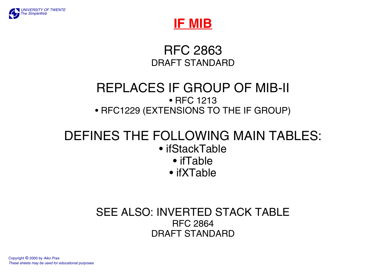



RFC 2863DRAFT STANDARD

## REPLACES IF GROUP OF MIB-II • RFC 1213• RFC1229 (EXTENSIONS TO THE IF GROUP)

# DEFINES THE FOLLOWING MAIN TABLES:

- ifStackTable
	- ifTable
	- ifXTable

## SEE ALSO: INVERTED STACK TABLERFC 2864DRAFT STANDARD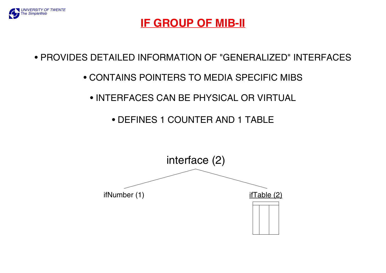

## **IF GROUP OF MIB-II**

• PROVIDES DETAILED INFORMATION OF "GENERALIZED" INTERFACES

#### • CONTAINS POINTERS TO MEDIA SPECIFIC MIBS

• INTERFACES CAN BE PHYSICAL OR VIRTUAL

• DEFINES 1 COUNTER AND 1 TABLE

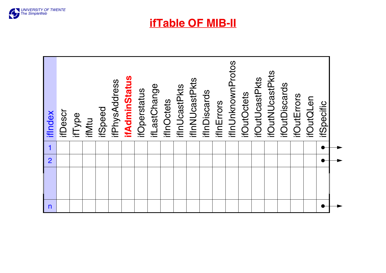

**ifTable OF MIB-II**

| itSpecific             |             |                |              |
|------------------------|-------------|----------------|--------------|
| <b>ifOutQLen</b>       |             |                |              |
| ifOutErrors            |             |                |              |
| <b>ifOutDiscards</b>   |             |                |              |
| <b>ifOutNUcastPkts</b> |             |                |              |
| <b>ifOutUcastPkts</b>  |             |                |              |
| <b>ifOutOctets</b>     |             |                |              |
| ifInUnknownProtos      |             |                |              |
| ifInErrors             |             |                |              |
| ifInDiscards           |             |                |              |
| ifInNUcastPkts         |             |                |              |
| ifInUcastPkts          |             |                |              |
| <b>ifInOctets</b>      |             |                |              |
| ifLastChange           |             |                |              |
| ifOperstatus           |             |                |              |
| <b>ifAdminStatus</b>   |             |                |              |
| ifPhysAddress          |             |                |              |
| <b>ifSpeed</b>         |             |                |              |
| ifMtu                  |             |                |              |
| ifType                 |             |                |              |
| ifDescr                |             |                |              |
| ifIndex                | $\mathbf 1$ | $\overline{2}$ | $\mathsf{n}$ |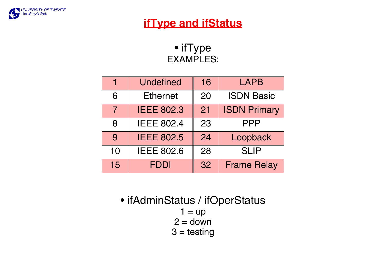

## **ifType and ifStatus**

• ifType EXAMPLES:

|                | <b>Undefined</b>  | 16 | <b>LAPB</b>         |
|----------------|-------------------|----|---------------------|
| 6              | <b>Ethernet</b>   | 20 | <b>ISDN Basic</b>   |
| $\overline{7}$ | <b>IEEE 802.3</b> | 21 | <b>ISDN Primary</b> |
| 8              | <b>IEEE 802.4</b> | 23 | <b>PPP</b>          |
| 9              | <b>IEEE 802.5</b> | 24 | Loopback            |
| 10             | <b>IEEE 802.6</b> | 28 | <b>SLIP</b>         |
| 15             | <b>FDDI</b>       | 32 | <b>Frame Relay</b>  |

• ifAdminStatus / ifOperStatus  $1 = up$ 2 = down  $3 = testing$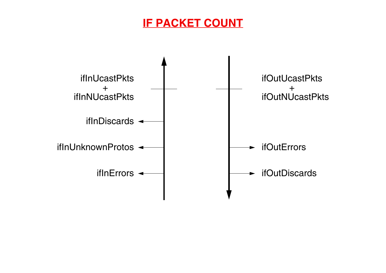# **IF PACKET COUNT**

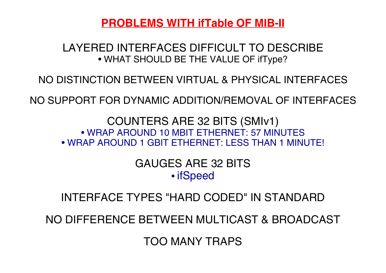**PROBLEMS WITH ifTable OF MIB-II**

### LAYERED INTERFACES DIFFICULT TO DESCRIBE• WHAT SHOULD BE THE VALUE OF ifType?

NO DISTINCTION BETWEEN VIRTUAL & PHYSICAL INTERFACES

NO SUPPORT FOR DYNAMIC ADDITION/REMOVAL OF INTERFACES

COUNTERS ARE 32 BITS (SMIv1) • WRAP AROUND 10 MBIT ETHERNET: 57 MINUTES• WRAP AROUND 1 GBIT ETHERNET: LESS THAN 1 MINUTE!

> GAUGES ARE 32 BITS• ifSpeed

INTERFACE TYPES "HARD CODED" IN STANDARD

NO DIFFERENCE BETWEEN MULTICAST & BROADCAST

TOO MANY TRAPS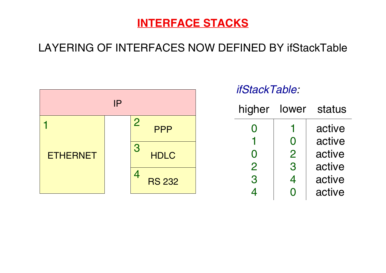## **INTERFACE STACKS**

# LAYERING OF INTERFACES NOW DEFINED BY ifStackTable



## *ifStackTable:*

| higher         | lower          | status |
|----------------|----------------|--------|
| O              |                | active |
| 1              | O              | active |
| O              | $\overline{2}$ | active |
| $\overline{2}$ | 3              | active |
| 3              | 4              | active |
| 4              | ۰              | active |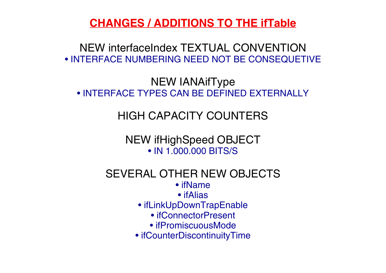**CHANGES / ADDITIONS TO THE ifTable**

NEW interfaceIndex TEXTUAL CONVENTION• INTERFACE NUMBERING NEED NOT BE CONSEQUETIVE

NEW IANAifType • INTERFACE TYPES CAN BE DEFINED EXTERNALLY

HIGH CAPACITY COUNTERS

NEW ifHighSpeed OBJECT • IN 1.000.000 BITS/S

SEVERAL OTHER NEW OBJECTS

• ifName

• ifAlias

• ifLinkUpDownTrapEnable

• ifConnectorPresent

• ifPromiscuousMode

• ifCounterDiscontinuityTime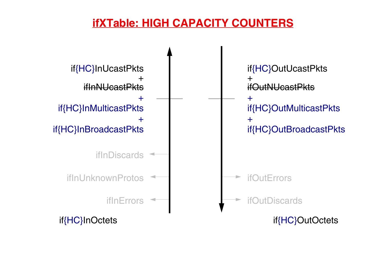## **ifXTable: HIGH CAPACITY COUNTERS**